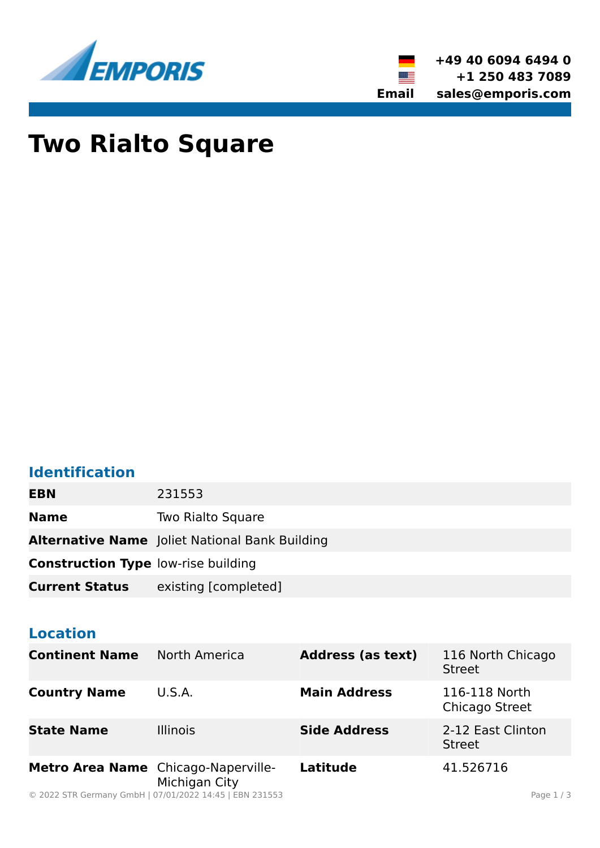



# **Two Rialto Square**

## **Identification**

| EBN                                        | 231553                                                |
|--------------------------------------------|-------------------------------------------------------|
| <b>Name</b>                                | Two Rialto Square                                     |
|                                            | <b>Alternative Name</b> Joliet National Bank Building |
| <b>Construction Type low-rise building</b> |                                                       |
| <b>Current Status</b>                      | existing [completed]                                  |

#### **Location**

| <b>Continent Name</b>               | North America   | <b>Address (as text)</b> | 116 North Chicago<br><b>Street</b> |
|-------------------------------------|-----------------|--------------------------|------------------------------------|
| <b>Country Name</b>                 | U.S.A.          | <b>Main Address</b>      | 116-118 North<br>Chicago Street    |
| <b>State Name</b>                   | <b>Illinois</b> | <b>Side Address</b>      | 2-12 East Clinton<br><b>Street</b> |
| Metro Area Name Chicago-Naperville- | Michigan City   | <b>Latitude</b>          | 41.526716                          |

© 2022 STR Germany GmbH | 07/01/2022 14:45 | EBN 231553 Page 1 / 3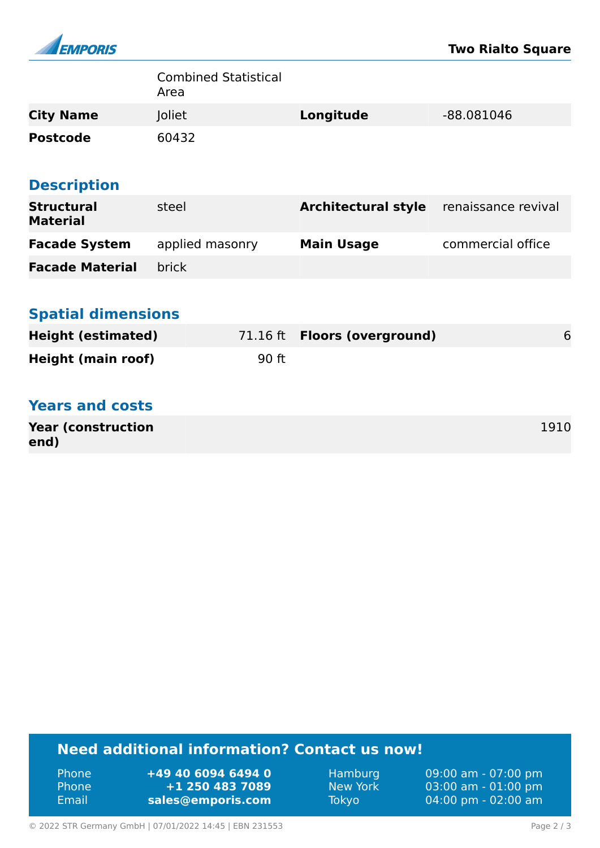

|                                      | <b>Combined Statistical</b><br>Area |                            |                     |
|--------------------------------------|-------------------------------------|----------------------------|---------------------|
| <b>City Name</b>                     | Joliet                              | Longitude                  | -88.081046          |
| <b>Postcode</b>                      | 60432                               |                            |                     |
| <b>Description</b>                   |                                     |                            |                     |
| <b>Structural</b><br><b>Material</b> | steel                               | <b>Architectural style</b> | renaissance revival |
| <b>Facade System</b>                 | applied masonry                     | <b>Main Usage</b>          | commercial office   |
| <b>Facade Material</b>               | <b>brick</b>                        |                            |                     |
|                                      |                                     |                            |                     |
| <b>Spatial dimensions</b>            |                                     |                            |                     |
| <b>Height (estimated)</b>            | 71.16 ft                            | <b>Floors (overground)</b> | 6                   |
| <b>Height (main roof)</b>            | 90 ft                               |                            |                     |
| <b>Years and costs</b>               |                                     |                            |                     |
| <b>Year (construction</b><br>end)    |                                     |                            | 1910                |

### **Need additional information? Contact us now!**

| ' Phone  | +49 40 6094 6494 0 |
|----------|--------------------|
| ' Phone. | +1 250 483 7089    |
| Email    | sales@emporis.com  |

Hamburg 09:00 am - 07:00 pm<br>New York 03:00 am - 01:00 pm New York 03:00 am - 01:00 pm<br>Tokyo 04:00 pm - 02:00 am 04:00 pm - 02:00 am